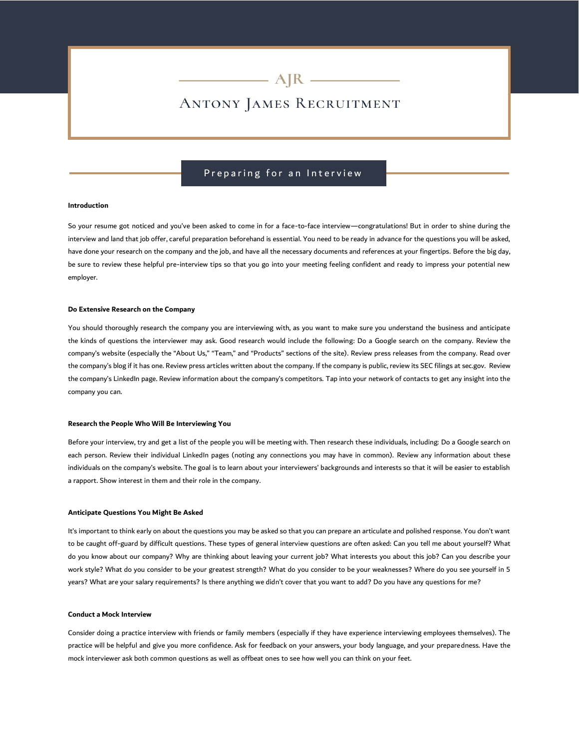# **ANTONY JAMES RECRUITMENT**

 $\overline{\phantom{a}}$  AJR  $\overline{\phantom{a}}$ 

# Preparing for an Interview

# **Introduction**

So your resume got noticed and you've been asked to come in for a face-to-face interview—congratulations! But in order to shine during the interview and land that job offer, careful preparation beforehand is essential. You need to be ready in advance for the questions you will be asked, have done your research on the company and the job, and have all the necessary documents and references at your fingertips. Before the big day, be sure to review these helpful pre-interview tips so that you go into your meeting feeling confident and ready to impress your potential new employer.

#### **Do Extensive Research on the Company**

You should thoroughly research the company you are interviewing with, as you want to make sure you understand the business and anticipate the kinds of questions the interviewer may ask. Good research would include the following: Do a Google search on the company. Review the company's website (especially the "About Us," "Team," and "Products" sections of the site). Review press releases from the company. Read over the company's blog if it has one. Review press articles written about the company. If the company is public, review its SEC filings at sec.gov. Review the company's LinkedIn page. Review information about the company's competitors. Tap into your network of contacts to get any insight into the company you can.

#### **Research the People Who Will Be Interviewing You**

Before your interview, try and get a list of the people you will be meeting with. Then research these individuals, including: Do a Google search on each person. Review their individual LinkedIn pages (noting any connections you may have in common). Review any information about these individuals on the company's website. The goal is to learn about your interviewers' backgrounds and interests so that it will be easier to establish a rapport. Show interest in them and their role in the company.

#### **Anticipate Questions You Might Be Asked**

It's important to think early on about the questions you may be asked so that you can prepare an articulate and polished response. You don't want to be caught off-guard by difficult questions. These types of general interview questions are often asked: Can you tell me about yourself? What do you know about our company? Why are thinking about leaving your current job? What interests you about this job? Can you describe your work style? What do you consider to be your greatest strength? What do you consider to be your weaknesses? Where do you see yourself in 5 years? What are your salary requirements? Is there anything we didn't cover that you want to add? Do you have any questions for me?

# **Conduct a Mock Interview**

Consider doing a practice interview with friends or family members (especially if they have experience interviewing employees themselves). The practice will be helpful and give you more confidence. Ask for feedback on your answers, your body language, and your preparedness. Have the mock interviewer ask both common questions as well as offbeat ones to see how well you can think on your feet.